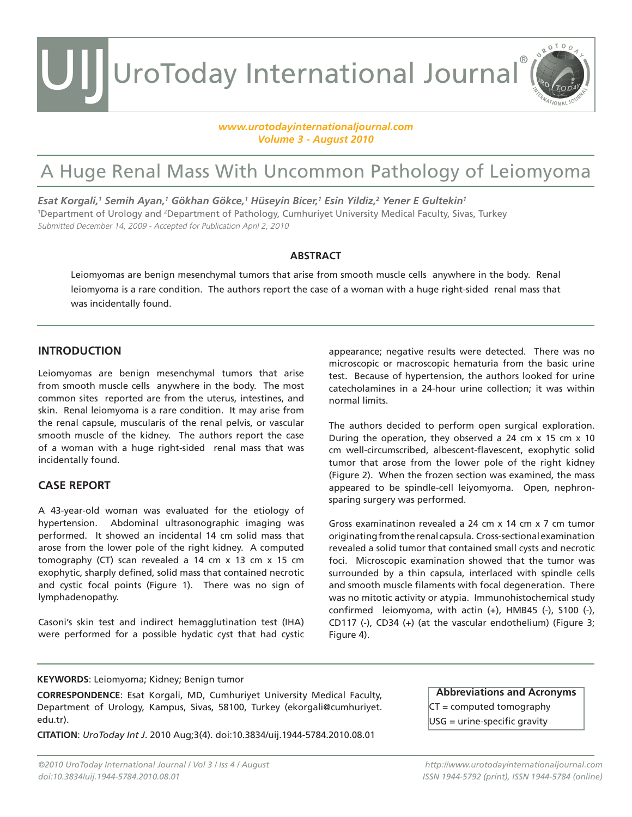UroToday International Journal®

## *www.urotodayinternationaljournal.com Volume 3 - August 2010*

## A Huge Renal Mass With Uncommon Pathology of Leiomyoma

*Esat Korgali,1 Semih Ayan,1 Gökhan Gökce,1 Hüseyin Bicer,1 Esin Yildiz,2 Yener E Gultekin1* 1 Department of Urology and 2 Department of Pathology, Cumhuriyet University Medical Faculty, Sivas, Turkey Submitted December 14, 2009 - Accepted for Publication April 2, 2010

## **ABSTRACT**

Leiomyomas are benign mesenchymal tumors that arise from smooth muscle cells anywhere in the body. Renal leiomyoma is a rare condition. The authors report the case of a woman with a huge right-sided renal mass that was incidentally found.

## **INTRODUCTION**

UIJ

Leiomyomas are benign mesenchymal tumors that arise from smooth muscle cells anywhere in the body. The most common sites reported are from the uterus, intestines, and skin. Renal leiomyoma is a rare condition. It may arise from the renal capsule, muscularis of the renal pelvis, or vascular smooth muscle of the kidney. The authors report the case of a woman with a huge right-sided renal mass that was incidentally found.

## **CASE REPORT**

A 43-year-old woman was evaluated for the etiology of hypertension. Abdominal ultrasonographic imaging was performed. It showed an incidental 14 cm solid mass that arose from the lower pole of the right kidney. A computed tomography (CT) scan revealed a 14 cm x 13 cm x 15 cm exophytic, sharply defined, solid mass that contained necrotic and cystic focal points (Figure 1). There was no sign of lymphadenopathy.

Casoni's skin test and indirect hemagglutination test (IHA) were performed for a possible hydatic cyst that had cystic appearance; negative results were detected. There was no microscopic or macroscopic hematuria from the basic urine test. Because of hypertension, the authors looked for urine catecholamines in a 24-hour urine collection; it was within normal limits.

ROTOD

The authors decided to perform open surgical exploration. During the operation, they observed a 24 cm x 15 cm x 10 cm well-circumscribed, albescent-flavescent, exophytic solid tumor that arose from the lower pole of the right kidney (Figure 2). When the frozen section was examined, the mass appeared to be spindle-cell leiyomyoma. Open, nephronsparing surgery was performed.

Gross examinatinon revealed a 24 cm x 14 cm x 7 cm tumor originating from the renal capsula. Cross-sectional examination revealed a solid tumor that contained small cysts and necrotic foci. Microscopic examination showed that the tumor was surrounded by a thin capsula, interlaced with spindle cells and smooth muscle filaments with focal degeneration. There was no mitotic activity or atypia. Immunohistochemical study confirmed leiomyoma, with actin  $(+)$ , HMB45  $(-)$ , S100  $(-)$ , CD117 (-), CD34 (+) (at the vascular endothelium) (Figure 3; Figure 4).

## **KEYWORDS**: Leiomyoma; Kidney; Benign tumor

**CORRESPONDENCE**: Esat Korgali, MD, Cumhuriyet University Medical Faculty, Department of Urology, Kampus, Sivas, 58100, Turkey (ekorgali@cumhuriyet. edu.tr).

**CITATION**: *UroToday Int J*. 2010 Aug;3(4). doi:10.3834/uij.1944-5784.2010.08.01

**Abbreviations and Acronyms** CT = computed tomography

USG = urine-specific gravity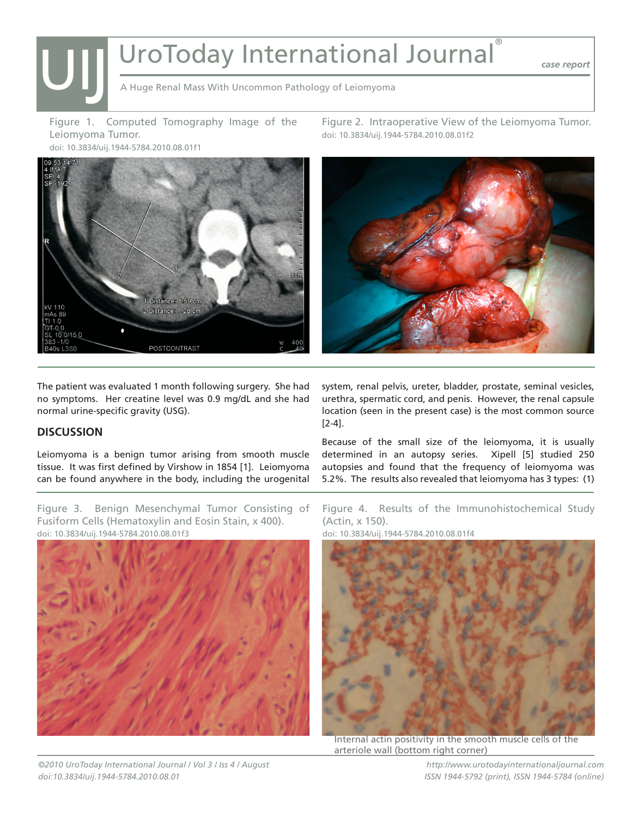## | UroToday International Journal®

*case report*

A Huge Renal Mass With Uncommon Pathology of Leiomyoma

Figure 1. Computed Tomography Image of the Leiomyoma Tumor. doi: 10.3834/uij.1944-5784.2010.08.01f1



Figure 2. Intraoperative View of the Leiomyoma Tumor. doi: 10.3834/uij.1944-5784.2010.08.01f2



The patient was evaluated 1 month following surgery. She had no symptoms. Her creatine level was 0.9 mg/dL and she had normal urine-specific gravity (USG).

## **DISCUSSION**

 $\overline{\bigcup}$ 

Leiomyoma is a benign tumor arising from smooth muscle tissue. It was first defined by Virshow in 1854 [1]. Leiomyoma can be found anywhere in the body, including the urogenital

Figure 3. Benign Mesenchymal Tumor Consisting of Fusiform Cells (Hematoxylin and Eosin Stain, x 400). doi: 10.3834/uij.1944-5784.2010.08.01f3



system, renal pelvis, ureter, bladder, prostate, seminal vesicles, urethra, spermatic cord, and penis. However, the renal capsule location (seen in the present case) is the most common source [2-4].

Because of the small size of the leiomyoma, it is usually determined in an autopsy series. Xipell [5] studied 250 autopsies and found that the frequency of leiomyoma was 5.2%. The results also revealed that leiomyoma has 3 types: (1)

Figure 4. Results of the Immunohistochemical Study (Actin, x 150).

doi: 10.3834/uij.1944-5784.2010.08.01f4



Internal actin positivity in the smooth muscle cells of the arteriole wall (bottom right corner)

*http://www.urotodayinternationaljournal.com ISSN 1944-5792 (print), ISSN 1944-5784 (online)*